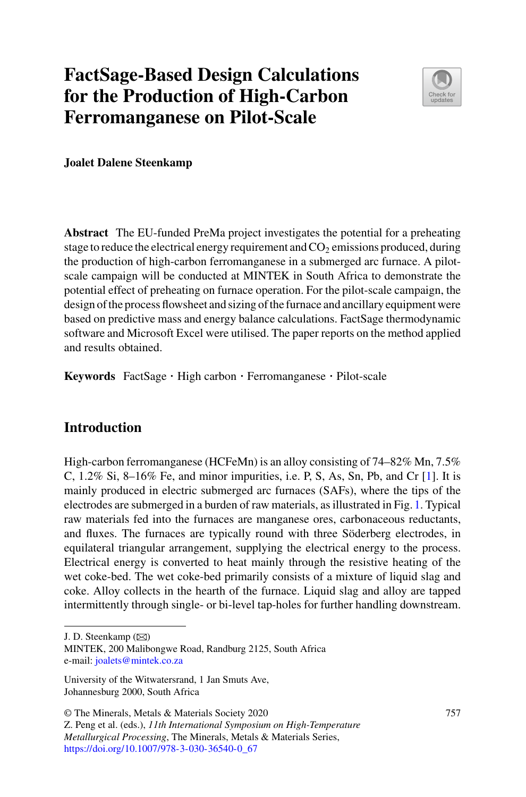# **FactSage-Based Design Calculations for the Production of High-Carbon Ferromanganese on Pilot-Scale**



**Joalet Dalene Steenkamp**

**Abstract** The EU-funded PreMa project investigates the potential for a preheating stage to reduce the electrical energy requirement and  $CO<sub>2</sub>$  emissions produced, during the production of high-carbon ferromanganese in a submerged arc furnace. A pilotscale campaign will be conducted at MINTEK in South Africa to demonstrate the potential effect of preheating on furnace operation. For the pilot-scale campaign, the design of the process flowsheet and sizing of the furnace and ancillary equipment were based on predictive mass and energy balance calculations. FactSage thermodynamic software and Microsoft Excel were utilised. The paper reports on the method applied and results obtained.

**Keywords** FactSage · High carbon · Ferromanganese · Pilot-scale

## **Introduction**

High-carbon ferromanganese (HCFeMn) is an alloy consisting of 74–82% Mn, 7.5% C, 1.2% Si, 8–16% Fe, and minor impurities, i.e. P, S, As, Sn, Pb, and Cr [\[1\]](#page-13-0). It is mainly produced in electric submerged arc furnaces (SAFs), where the tips of the electrodes are submerged in a burden of raw materials, as illustrated in Fig. [1.](#page-1-0) Typical raw materials fed into the furnaces are manganese ores, carbonaceous reductants, and fluxes. The furnaces are typically round with three Söderberg electrodes, in equilateral triangular arrangement, supplying the electrical energy to the process. Electrical energy is converted to heat mainly through the resistive heating of the wet coke-bed. The wet coke-bed primarily consists of a mixture of liquid slag and coke. Alloy collects in the hearth of the furnace. Liquid slag and alloy are tapped intermittently through single- or bi-level tap-holes for further handling downstream.

J. D. Steenkamp  $(\boxtimes)$ 

MINTEK, 200 Malibongwe Road, Randburg 2125, South Africa e-mail: [joalets@mintek.co.za](mailto:joalets@mintek.co.za)

University of the Witwatersrand, 1 Jan Smuts Ave, Johannesburg 2000, South Africa

<sup>©</sup> The Minerals, Metals & Materials Society 2020

Z. Peng et al. (eds.), *11th International Symposium on High-Temperature Metallurgical Processing*, The Minerals, Metals & Materials Series, [https://doi.org/10.1007/978-3-030-36540-0\\_67](https://doi.org/10.1007/978-3-030-36540-0_67)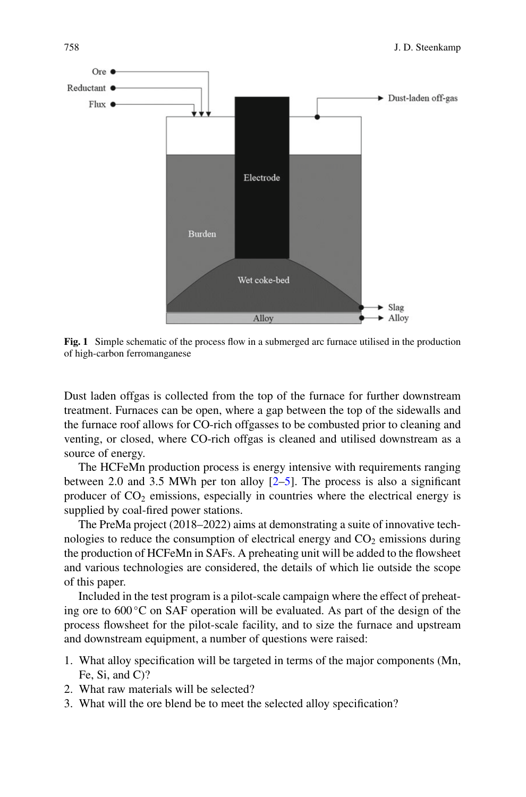

<span id="page-1-0"></span>**Fig. 1** Simple schematic of the process flow in a submerged arc furnace utilised in the production of high-carbon ferromanganese

Dust laden offgas is collected from the top of the furnace for further downstream treatment. Furnaces can be open, where a gap between the top of the sidewalls and the furnace roof allows for CO-rich offgasses to be combusted prior to cleaning and venting, or closed, where CO-rich offgas is cleaned and utilised downstream as a source of energy.

The HCFeMn production process is energy intensive with requirements ranging between 2.0 and 3.5 MWh per ton alloy  $[2-5]$  $[2-5]$ . The process is also a significant producer of  $CO<sub>2</sub>$  emissions, especially in countries where the electrical energy is supplied by coal-fired power stations.

The PreMa project (2018–2022) aims at demonstrating a suite of innovative technologies to reduce the consumption of electrical energy and  $CO<sub>2</sub>$  emissions during the production of HCFeMn in SAFs. A preheating unit will be added to the flowsheet and various technologies are considered, the details of which lie outside the scope of this paper.

Included in the test program is a pilot-scale campaign where the effect of preheating ore to  $600^{\circ}$ C on SAF operation will be evaluated. As part of the design of the process flowsheet for the pilot-scale facility, and to size the furnace and upstream and downstream equipment, a number of questions were raised:

- 1. What alloy specification will be targeted in terms of the major components (Mn, Fe, Si, and C)?
- 2. What raw materials will be selected?
- 3. What will the ore blend be to meet the selected alloy specification?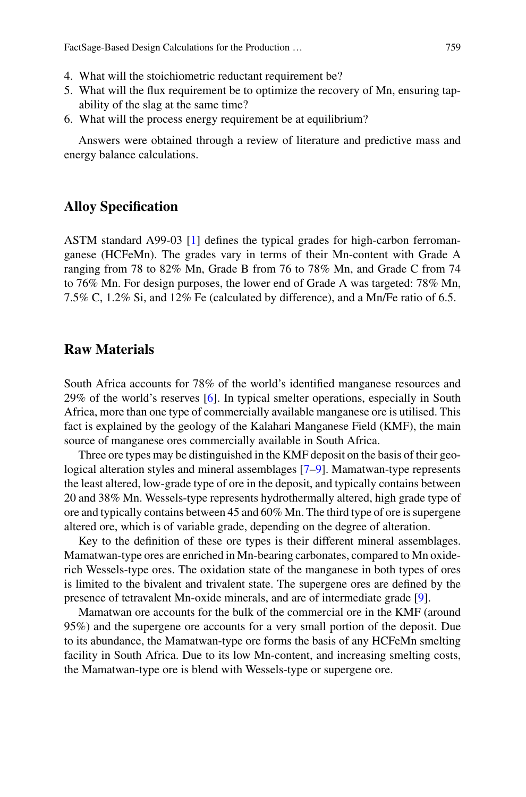- 4. What will the stoichiometric reductant requirement be?
- 5. What will the flux requirement be to optimize the recovery of Mn, ensuring tapability of the slag at the same time?
- 6. What will the process energy requirement be at equilibrium?

Answers were obtained through a review of literature and predictive mass and energy balance calculations.

#### **Alloy Specification**

ASTM standard A99-03 [\[1](#page-13-0)] defines the typical grades for high-carbon ferromanganese (HCFeMn). The grades vary in terms of their Mn-content with Grade A ranging from 78 to 82% Mn, Grade B from 76 to 78% Mn, and Grade C from 74 to 76% Mn. For design purposes, the lower end of Grade A was targeted: 78% Mn, 7.5% C, 1.2% Si, and 12% Fe (calculated by difference), and a Mn/Fe ratio of 6.5.

## **Raw Materials**

South Africa accounts for 78% of the world's identified manganese resources and 29% of the world's reserves [\[6](#page-13-3)]. In typical smelter operations, especially in South Africa, more than one type of commercially available manganese ore is utilised. This fact is explained by the geology of the Kalahari Manganese Field (KMF), the main source of manganese ores commercially available in South Africa.

Three ore types may be distinguished in the KMF deposit on the basis of their geological alteration styles and mineral assemblages [\[7](#page-13-4)[–9\]](#page-13-5). Mamatwan-type represents the least altered, low-grade type of ore in the deposit, and typically contains between 20 and 38% Mn. Wessels-type represents hydrothermally altered, high grade type of ore and typically contains between 45 and 60% Mn. The third type of ore is supergene altered ore, which is of variable grade, depending on the degree of alteration.

Key to the definition of these ore types is their different mineral assemblages. Mamatwan-type ores are enriched in Mn-bearing carbonates, compared to Mn oxiderich Wessels-type ores. The oxidation state of the manganese in both types of ores is limited to the bivalent and trivalent state. The supergene ores are defined by the presence of tetravalent Mn-oxide minerals, and are of intermediate grade [\[9](#page-13-5)].

Mamatwan ore accounts for the bulk of the commercial ore in the KMF (around 95%) and the supergene ore accounts for a very small portion of the deposit. Due to its abundance, the Mamatwan-type ore forms the basis of any HCFeMn smelting facility in South Africa. Due to its low Mn-content, and increasing smelting costs, the Mamatwan-type ore is blend with Wessels-type or supergene ore.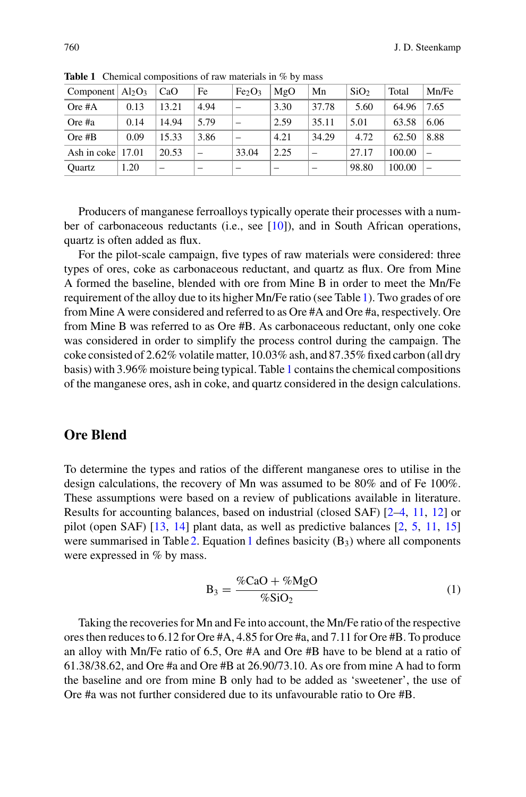| Component $Al_2O_3$  |      | CaO   | Fe   | Fe <sub>2</sub> O <sub>3</sub> | MgO                      | Mn    | SiO <sub>2</sub> | Total  | Mn/Fe |
|----------------------|------|-------|------|--------------------------------|--------------------------|-------|------------------|--------|-------|
| $Ore\#A$             | 0.13 | 13.21 | 4.94 |                                | 3.30                     | 37.78 | 5.60             | 64.96  | 7.65  |
| Ore #a               | 0.14 | 14.94 | 5.79 |                                | 2.59                     | 35.11 | 5.01             | 63.58  | 6.06  |
| Ore $#B$             | 0.09 | 15.33 | 3.86 |                                | 4.21                     | 34.29 | 4.72             | 62.50  | 8.88  |
| Ash in coke $ 17.01$ |      | 20.53 |      | 33.04                          | 2.25                     |       | 27.17            | 100.00 |       |
| Ouartz               | 1.20 | -     |      | $\overline{\phantom{a}}$       | $\overline{\phantom{a}}$ | -     | 98.80            | 100.00 |       |

<span id="page-3-0"></span>Table 1 Chemical compositions of raw materials in % by mass

Producers of manganese ferroalloys typically operate their processes with a number of carbonaceous reductants (i.e., see [\[10\]](#page-13-6)), and in South African operations, quartz is often added as flux.

For the pilot-scale campaign, five types of raw materials were considered: three types of ores, coke as carbonaceous reductant, and quartz as flux. Ore from Mine A formed the baseline, blended with ore from Mine B in order to meet the Mn/Fe requirement of the alloy due to its higher Mn/Fe ratio (see Table [1\)](#page-3-0). Two grades of ore from Mine A were considered and referred to as Ore #A and Ore #a, respectively. Ore from Mine B was referred to as Ore #B. As carbonaceous reductant, only one coke was considered in order to simplify the process control during the campaign. The coke consisted of 2.62% volatile matter, 10.03% ash, and 87.35% fixed carbon (all dry basis) with 3.96% moisture being typical. Table [1](#page-3-0) contains the chemical compositions of the manganese ores, ash in coke, and quartz considered in the design calculations.

#### **Ore Blend**

To determine the types and ratios of the different manganese ores to utilise in the design calculations, the recovery of Mn was assumed to be 80% and of Fe 100%. These assumptions were based on a review of publications available in literature. Results for accounting balances, based on industrial (closed SAF) [\[2](#page-13-1)[–4,](#page-13-7) [11,](#page-13-8) [12\]](#page-13-9) or pilot (open SAF) [\[13,](#page-13-10) [14](#page-14-0)] plant data, as well as predictive balances [\[2,](#page-13-1) [5](#page-13-2), [11,](#page-13-8) [15\]](#page-14-1) were summarised in Table [2.](#page-4-0) Equation [1](#page-3-1) defines basicity  $(B_3)$  where all components were expressed in % by mass.

<span id="page-3-1"></span>
$$
B_3 = \frac{\%CaO + \%MgO}{\%SiO_2} \tag{1}
$$

Taking the recoveries for Mn and Fe into account, the Mn/Fe ratio of the respective ores then reduces to 6.12 for Ore #A, 4.85 for Ore #a, and 7.11 for Ore #B. To produce an alloy with Mn/Fe ratio of 6.5, Ore #A and Ore #B have to be blend at a ratio of 61.38/38.62, and Ore #a and Ore #B at 26.90/73.10. As ore from mine A had to form the baseline and ore from mine B only had to be added as 'sweetener', the use of Ore #a was not further considered due to its unfavourable ratio to Ore #B.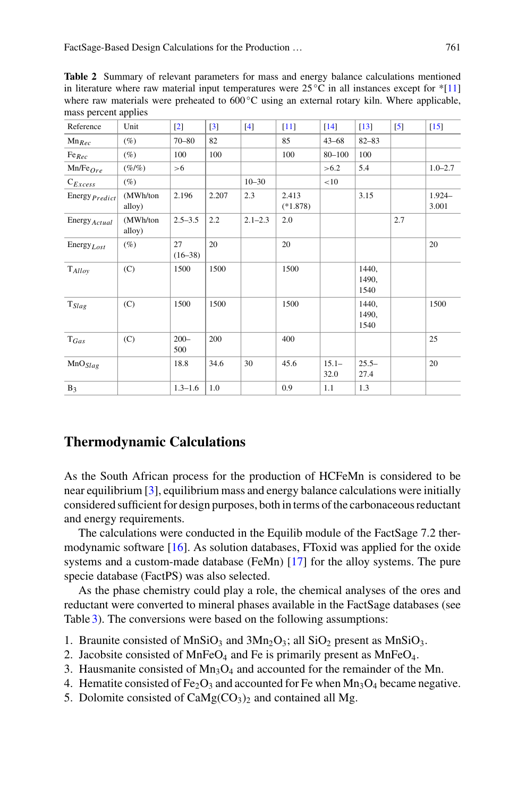<span id="page-4-0"></span>**Table 2** Summary of relevant parameters for mass and energy balance calculations mentioned in literature where raw material input temperatures were  $25^{\circ}$ C in all instances except for \*[\[11](#page-13-8)] where raw materials were preheated to  $600^{\circ}$ C using an external rotary kiln. Where applicable, mass percent applies

| Reference                  | Unit               | $[2]$           | $[3]$ | $[4]$       | [11]                | $[14]$           | $[13]$                 | $\left[5\right]$ | $[15]$             |
|----------------------------|--------------------|-----------------|-------|-------------|---------------------|------------------|------------------------|------------------|--------------------|
| $Mn_{Rec}$                 | $(\%)$             | $70 - 80$       | 82    |             | 85                  | $43 - 68$        | $82 - 83$              |                  |                    |
| $Fe_{Rec}$                 | $(\%)$             | 100             | 100   |             | 100                 | $80 - 100$       | 100                    |                  |                    |
| $Mn/Fe$ <sub>Ore</sub>     | $($ %/%)           | >6              |       |             |                     | >6.2             | 5.4                    |                  | $1.0 - 2.7$        |
| $C_{Excess}$               | $(\%)$             |                 |       | $10 - 30$   |                     | <10              |                        |                  |                    |
| Energy $Predict$           | (MWh/ton<br>alloy) | 2.196           | 2.207 | 2.3         | 2.413<br>$(*1.878)$ |                  | 3.15                   |                  | $1.924 -$<br>3.001 |
| Energy Actual              | (MWh/ton<br>alloy) | $2.5 - 3.5$     | 2.2   | $2.1 - 2.3$ | 2.0                 |                  |                        | 2.7              |                    |
| Energy $_{Lost}$           | $(\%)$             | 27<br>$(16-38)$ | 20    |             | 20                  |                  |                        |                  | 20                 |
| $\mathrm{T}_{Alloy}$       | (C)                | 1500            | 1500  |             | 1500                |                  | 1440,<br>1490,<br>1540 |                  |                    |
| $\mathrm{T}_\mathit{Slag}$ | (C)                | 1500            | 1500  |             | 1500                |                  | 1440,<br>1490,<br>1540 |                  | 1500               |
| $T_{Gas}$                  | (C)                | $200 -$<br>500  | 200   |             | 400                 |                  |                        |                  | 25                 |
| MnO <sub>Slag</sub>        |                    | 18.8            | 34.6  | 30          | 45.6                | $15.1 -$<br>32.0 | $25.5-$<br>27.4        |                  | 20                 |
| $B_3$                      |                    | $1.3 - 1.6$     | 1.0   |             | 0.9                 | 1.1              | 1.3                    |                  |                    |

## **Thermodynamic Calculations**

As the South African process for the production of HCFeMn is considered to be near equilibrium [\[3](#page-13-11)], equilibrium mass and energy balance calculations were initially considered sufficient for design purposes, both in terms of the carbonaceous reductant and energy requirements.

The calculations were conducted in the Equilib module of the FactSage 7.2 thermodynamic software [\[16](#page-14-2)]. As solution databases, FToxid was applied for the oxide systems and a custom-made database (FeMn) [\[17](#page-14-3)] for the alloy systems. The pure specie database (FactPS) was also selected.

As the phase chemistry could play a role, the chemical analyses of the ores and reductant were converted to mineral phases available in the FactSage databases (see Table [3\)](#page-5-0). The conversions were based on the following assumptions:

- 1. Braunite consisted of MnSiO<sub>3</sub> and  $3Mn_2O_3$ ; all SiO<sub>2</sub> present as MnSiO<sub>3</sub>.
- 2. Jacobsite consisted of MnFe $O_4$  and Fe is primarily present as MnFe $O_4$ .
- 3. Hausmanite consisted of Mn3O4 and accounted for the remainder of the Mn.
- 4. Hematite consisted of Fe<sub>2</sub>O<sub>3</sub> and accounted for Fe when  $Mn_3O_4$  became negative.
- 5. Dolomite consisted of  $CaMg(CO<sub>3</sub>)<sub>2</sub>$  and contained all Mg.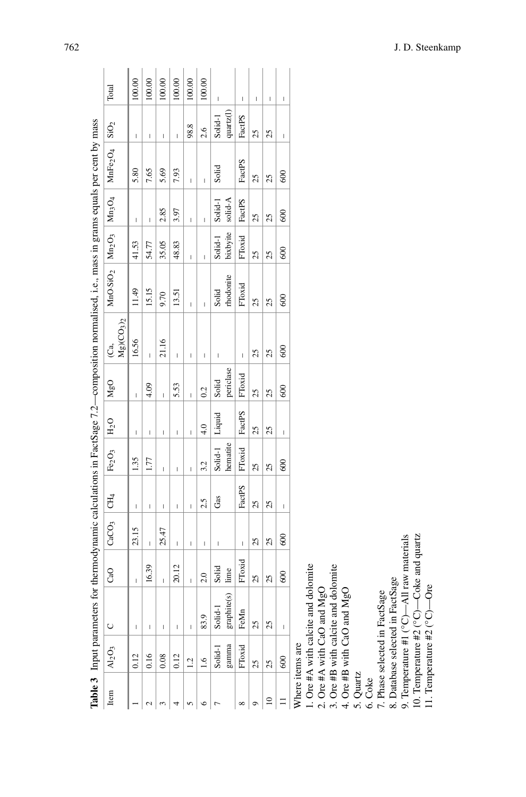|                                                                                                                                             | Total                                                | 100.00                                                                                                                                                                                                                                                                                                                                                                                                         | 100.00      | 100.00                                | 100.00                   | 100.00                   | 100.00                   | $\begin{array}{c} \hline \end{array}$ |             |                        | $\overline{\phantom{a}}$ | $\mathbf{I}$ | $\begin{array}{c} \hline \end{array}$ |
|---------------------------------------------------------------------------------------------------------------------------------------------|------------------------------------------------------|----------------------------------------------------------------------------------------------------------------------------------------------------------------------------------------------------------------------------------------------------------------------------------------------------------------------------------------------------------------------------------------------------------------|-------------|---------------------------------------|--------------------------|--------------------------|--------------------------|---------------------------------------|-------------|------------------------|--------------------------|--------------|---------------------------------------|
|                                                                                                                                             |                                                      | $\begin{array}{c} \hline \end{array}$                                                                                                                                                                                                                                                                                                                                                                          | I           | $\begin{array}{c} \hline \end{array}$ | I                        | 98.8                     | 2.6                      | Solid-1                               | quartz(l)   | $\mathbf{I}$<br>FactPS | 25                       | 25           | $\overline{\phantom{a}}$              |
|                                                                                                                                             |                                                      | 5.80                                                                                                                                                                                                                                                                                                                                                                                                           | 7.65        | 5.69                                  | 7.93                     | $\overline{\phantom{a}}$ | I                        | Solid                                 |             | FactPS                 | 25                       | 25           | 600                                   |
|                                                                                                                                             |                                                      | $\begin{array}{c} \hline \end{array}$                                                                                                                                                                                                                                                                                                                                                                          | I           | 2.85                                  | 3.97                     | $\overline{\phantom{a}}$ | I                        | Solid-1                               | solid-A     | FactPS                 | 25                       | 25           | 600                                   |
|                                                                                                                                             |                                                      | 41.53                                                                                                                                                                                                                                                                                                                                                                                                          | 54.77       | 35.05                                 | 48.83                    | $\overline{\phantom{a}}$ | I                        | Solid-1                               | bixbyite    | FToxid                 | 25                       | 25           | 600                                   |
| Table 3 Input parameters for thermodynamic calculations in FactSage 7.2—composition normalised, i.e., mass in grams equals per cent by mass | $MnO. SiO2$   $Mn2O3$   $Mn3O4$   $MnFe2O4$   $SiO2$ | 11.49                                                                                                                                                                                                                                                                                                                                                                                                          | 15.15       | 9.70                                  | 13.51                    | $\overline{\phantom{a}}$ | I                        | Solid                                 | rhodonite   | FToxid                 | 25                       | 25           | 600                                   |
|                                                                                                                                             | $Mg$ )( $CO3$ ) <sub>2</sub><br>Ca,                  | 16.56                                                                                                                                                                                                                                                                                                                                                                                                          | Ï           | 21.16                                 | Ï                        | $\overline{\phantom{a}}$ | $\overline{\phantom{a}}$ | $\overline{\phantom{a}}$              |             | $\mathbf{I}$           | 25                       | 25           | 600                                   |
|                                                                                                                                             | MgO                                                  | $\overline{1}$                                                                                                                                                                                                                                                                                                                                                                                                 | 4.09        | $\overline{\phantom{a}}$              | 5.53                     | $\overline{\phantom{a}}$ | 0.2                      | Solid                                 | periclase   | FToxid                 | 25                       | 25           | 600                                   |
|                                                                                                                                             | $H_2O$                                               | $\begin{array}{c} \hline \end{array}$                                                                                                                                                                                                                                                                                                                                                                          | I           | $\begin{array}{c} \hline \end{array}$ | I                        | $\overline{\phantom{a}}$ | 4.0                      | Liquid                                |             | FactPS                 | 25                       | 25           | $\overline{\phantom{a}}$              |
|                                                                                                                                             | Fe <sub>2</sub> O <sub>3</sub>                       | 1.35                                                                                                                                                                                                                                                                                                                                                                                                           | 1.77        | $\overline{\phantom{a}}$              | I                        | $\overline{\phantom{a}}$ | 3.2                      | Solid-1                               | hematite    | FToxid                 | 25                       | 25           | 600                                   |
|                                                                                                                                             |                                                      | $\begin{array}{c} \hline \end{array}$                                                                                                                                                                                                                                                                                                                                                                          | I           | $\overline{\phantom{a}}$              | $\mathsf I$              | $\overline{\phantom{a}}$ | 2.5                      | Gas                                   |             | FactPS                 | 25                       | 25           | $\overline{\phantom{a}}$              |
|                                                                                                                                             | $CaCO3$ $CH4$                                        | 23.15                                                                                                                                                                                                                                                                                                                                                                                                          | Ï           | 25.47                                 | $\overline{\phantom{a}}$ | $\overline{\phantom{a}}$ | $\mathbf{I}$             | $\overline{\phantom{a}}$              |             | $\mathbf{I}$           | 25                       | 25           | 600                                   |
|                                                                                                                                             | CaO                                                  |                                                                                                                                                                                                                                                                                                                                                                                                                | 16.39       | I                                     | 20.12                    | $\overline{\phantom{a}}$ | 2.0                      | Solid                                 | lime        | FToxid                 | 25                       | 25           | 600                                   |
|                                                                                                                                             |                                                      | $\begin{array}{c} \rule{0pt}{2ex} \rule{0pt}{2ex} \rule{0pt}{2ex} \rule{0pt}{2ex} \rule{0pt}{2ex} \rule{0pt}{2ex} \rule{0pt}{2ex} \rule{0pt}{2ex} \rule{0pt}{2ex} \rule{0pt}{2ex} \rule{0pt}{2ex} \rule{0pt}{2ex} \rule{0pt}{2ex} \rule{0pt}{2ex} \rule{0pt}{2ex} \rule{0pt}{2ex} \rule{0pt}{2ex} \rule{0pt}{2ex} \rule{0pt}{2ex} \rule{0pt}{2ex} \rule{0pt}{2ex} \rule{0pt}{2ex} \rule{0pt}{2ex} \rule{0pt}{$ | $\mathsf I$ | $\overline{\phantom{a}}$              | I                        | $\mathsf I$              | 83.9                     | Solid-1                               | graphite(s) | FeMn                   | 25                       | 25           | I                                     |
|                                                                                                                                             | $Al_2O_3$                                            | 0.12                                                                                                                                                                                                                                                                                                                                                                                                           | 0.16        | 0.08                                  | 0.12                     | 1.2                      | $\frac{6}{16}$           | Solid-1                               | gamma       | FToxid                 | 25                       | 25           | 600                                   |
|                                                                                                                                             | Item                                                 |                                                                                                                                                                                                                                                                                                                                                                                                                |             |                                       |                          |                          | ७                        |                                       |             | ∞                      | ᡋ                        | $\approx$    | $\equiv$                              |

J. ÷,  $\ddot{\cdot}$ J.

Where items are Where items are

<span id="page-5-0"></span>1. Ore #A with calcite and dolomite 1. Ore #A with calcite and dolomite

2. Ore #A with CaO and MgO<br>3. Ore #B with calcite and dolomite<br>4. Ore #B with CaO and MgO 2. Ore #A with CaO and MgO

3. Ore #B with calcite and dolomite

4. Ore #B with CaO and MgO 5. Quartz

6. Coke 7. Phase selected in FactSage

8. Database selected in FactSage 8. Database selected in FactSage

9. Temperature #1 (°C)—All raw materials<br>10. Temperature #2 (°C)—Coke and quartz<br>11. Temperature #2 (°C)—Ore 9. Temperature #1 ( $°C$ )—All raw materials

10. Temperature #2 (◦C)—Coke and quartz

11. Temperature #2 (◦C)—Ore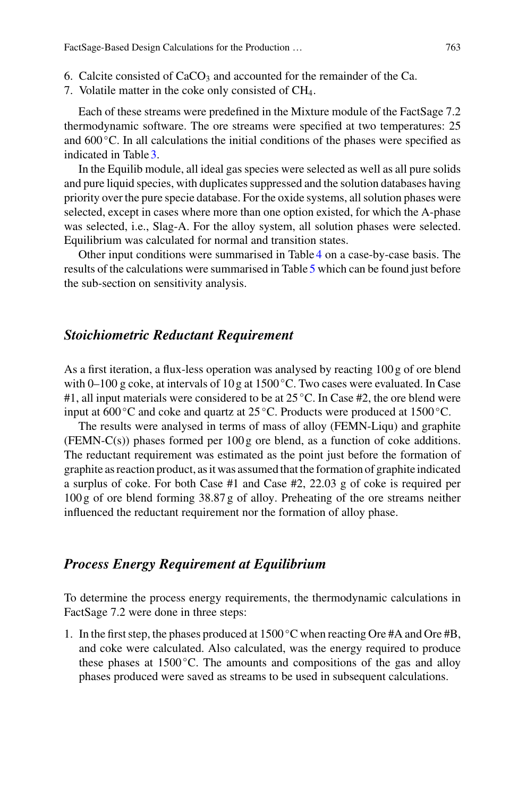- 6. Calcite consisted of  $CaCO<sub>3</sub>$  and accounted for the remainder of the Ca.
- 7. Volatile matter in the coke only consisted of  $CH<sub>4</sub>$ .

Each of these streams were predefined in the Mixture module of the FactSage 7.2 thermodynamic software. The ore streams were specified at two temperatures: 25 and  $600\degree$ C. In all calculations the initial conditions of the phases were specified as indicated in Table [3.](#page-5-0)

In the Equilib module, all ideal gas species were selected as well as all pure solids and pure liquid species, with duplicates suppressed and the solution databases having priority over the pure specie database. For the oxide systems, all solution phases were selected, except in cases where more than one option existed, for which the A-phase was selected, i.e., Slag-A. For the alloy system, all solution phases were selected. Equilibrium was calculated for normal and transition states.

Other input conditions were summarised in Table [4](#page-7-0) on a case-by-case basis. The results of the calculations were summarised in Table [5](#page-8-0) which can be found just before the sub-section on sensitivity analysis.

## *Stoichiometric Reductant Requirement*

As a first iteration, a flux-less operation was analysed by reacting 100 g of ore blend with 0–100 g coke, at intervals of 10 g at 1500 °C. Two cases were evaluated. In Case #1, all input materials were considered to be at  $25^{\circ}$ C. In Case #2, the ore blend were input at  $600^{\circ}$ C and coke and quartz at  $25^{\circ}$ C. Products were produced at 1500 °C.

The results were analysed in terms of mass of alloy (FEMN-Liqu) and graphite (FEMN-C(s)) phases formed per  $100 g$  ore blend, as a function of coke additions. The reductant requirement was estimated as the point just before the formation of graphite as reaction product, as it was assumed that the formation of graphite indicated a surplus of coke. For both Case #1 and Case #2, 22.03 g of coke is required per 100 g of ore blend forming 38.87 g of alloy. Preheating of the ore streams neither influenced the reductant requirement nor the formation of alloy phase.

## *Process Energy Requirement at Equilibrium*

To determine the process energy requirements, the thermodynamic calculations in FactSage 7.2 were done in three steps:

1. In the first step, the phases produced at  $1500\degree$ C when reacting Ore #A and Ore #B, and coke were calculated. Also calculated, was the energy required to produce these phases at  $1500^{\circ}$ C. The amounts and compositions of the gas and alloy phases produced were saved as streams to be used in subsequent calculations.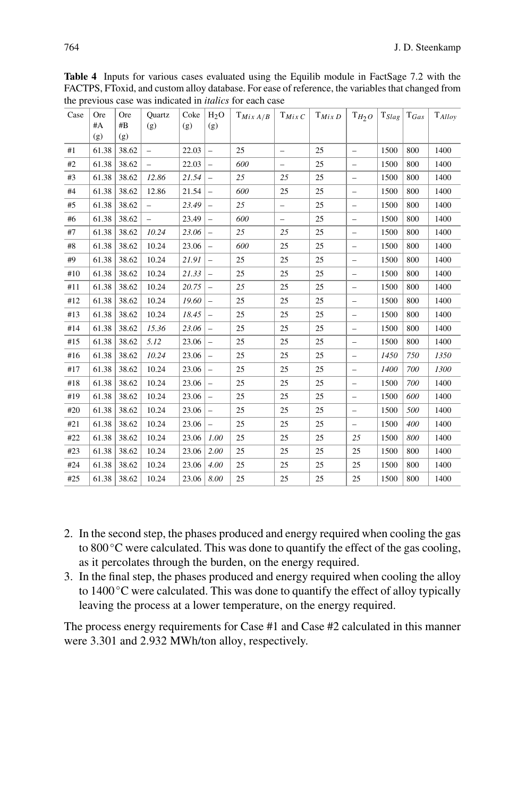| Case  | Ore   | Ore   | the previous case was marculed in mimos for ca<br>Quartz | Coke  | H <sub>2</sub> O         | $T_{Mix\ A/B}$ | $T_{MixC}$               | $T_{Mix\,D}$ | $T_{H_2O}$               | $\mathrm{T}_{Slag}$ | $\mathrm{T}_{Gas}$ | $\mathrm{T}_{Alloy}$ |
|-------|-------|-------|----------------------------------------------------------|-------|--------------------------|----------------|--------------------------|--------------|--------------------------|---------------------|--------------------|----------------------|
|       | $\#A$ | $\#B$ | (g)                                                      | (g)   | (g)                      |                |                          |              |                          |                     |                    |                      |
|       | (g)   | (g)   |                                                          |       |                          |                |                          |              |                          |                     |                    |                      |
| #1    | 61.38 | 38.62 | $\overline{a}$                                           | 22.03 | $\overline{\phantom{a}}$ | 25             | $\overline{\phantom{m}}$ | 25           | $\overline{\phantom{a}}$ | 1500                | 800                | 1400                 |
| #2    | 61.38 | 38.62 | $\overline{a}$                                           | 22.03 | $\qquad \qquad -$        | 600            | ÷,                       | 25           | $\qquad \qquad -$        | 1500                | 800                | 1400                 |
| #3    | 61.38 | 38.62 | 12.86                                                    | 21.54 |                          | 25             | 25                       | 25           | $\overline{\phantom{0}}$ | 1500                | 800                | 1400                 |
| #4    | 61.38 | 38.62 | 12.86                                                    | 21.54 | $\overline{\phantom{m}}$ | 600            | 25                       | 25           | $\overline{\phantom{0}}$ | 1500                | 800                | 1400                 |
| #5    | 61.38 | 38.62 | $\overline{a}$                                           | 23.49 | $\qquad \qquad -$        | 25             | $\overline{\phantom{0}}$ | 25           | $\overline{\phantom{0}}$ | 1500                | 800                | 1400                 |
| #6    | 61.38 | 38.62 | $\overline{\phantom{0}}$                                 | 23.49 | $\overline{\phantom{0}}$ | 600            | $\qquad \qquad -$        | 25           | $\overline{\phantom{0}}$ | 1500                | 800                | 1400                 |
| #7    | 61.38 | 38.62 | 10.24                                                    | 23.06 | $\qquad \qquad -$        | 25             | 25                       | 25           | $\qquad \qquad -$        | 1500                | 800                | 1400                 |
| $\#8$ | 61.38 | 38.62 | 10.24                                                    | 23.06 | $\qquad \qquad -$        | 600            | 25                       | 25           | $\qquad \qquad -$        | 1500                | 800                | 1400                 |
| #9    | 61.38 | 38.62 | 10.24                                                    | 21.91 |                          | 25             | 25                       | 25           | $\overline{\phantom{0}}$ | 1500                | 800                | 1400                 |
| #10   | 61.38 | 38.62 | 10.24                                                    | 21.33 | $\overline{\phantom{m}}$ | 25             | 25                       | 25           | $\overline{\phantom{0}}$ | 1500                | 800                | 1400                 |
| #11   | 61.38 | 38.62 | 10.24                                                    | 20.75 | $\overline{\phantom{m}}$ | 25             | 25                       | 25           | $\qquad \qquad -$        | 1500                | 800                | 1400                 |
| #12   | 61.38 | 38.62 | 10.24                                                    | 19.60 | $\overline{a}$           | 25             | 25                       | 25           | $\overline{\phantom{0}}$ | 1500                | 800                | 1400                 |
| #13   | 61.38 | 38.62 | 10.24                                                    | 18.45 | $\overline{\phantom{a}}$ | 25             | 25                       | 25           | $\overline{\phantom{m}}$ | 1500                | 800                | 1400                 |
| #14   | 61.38 | 38.62 | 15.36                                                    | 23.06 | $\overline{\phantom{m}}$ | 25             | 25                       | 25           | $\qquad \qquad -$        | 1500                | 800                | 1400                 |
| #15   | 61.38 | 38.62 | 5.12                                                     | 23.06 | $\overline{\phantom{0}}$ | 25             | 25                       | 25           | $\overline{\phantom{0}}$ | 1500                | 800                | 1400                 |
| #16   | 61.38 | 38.62 | 10.24                                                    | 23.06 | $\overline{\phantom{m}}$ | 25             | 25                       | 25           | $\qquad \qquad -$        | 1450                | 750                | 1350                 |
| #17   | 61.38 | 38.62 | 10.24                                                    | 23.06 |                          | 25             | 25                       | 25           | $\overline{\phantom{a}}$ | 1400                | 700                | 1300                 |
| #18   | 61.38 | 38.62 | 10.24                                                    | 23.06 | $\overline{a}$           | 25             | 25                       | 25           | $\qquad \qquad -$        | 1500                | 700                | 1400                 |
| #19   | 61.38 | 38.62 | 10.24                                                    | 23.06 | $\overline{\phantom{0}}$ | 25             | 25                       | 25           | $\overline{\phantom{0}}$ | 1500                | 600                | 1400                 |
| #20   | 61.38 | 38.62 | 10.24                                                    | 23.06 |                          | 25             | 25                       | 25           | $\overline{\phantom{a}}$ | 1500                | 500                | 1400                 |
| #21   | 61.38 | 38.62 | 10.24                                                    | 23.06 | $\overline{\phantom{0}}$ | 25             | 25                       | 25           | $\overline{\phantom{a}}$ | 1500                | 400                | 1400                 |
| #22   | 61.38 | 38.62 | 10.24                                                    | 23.06 | 1.00                     | 25             | 25                       | 25           | 25                       | 1500                | 800                | 1400                 |
| #23   | 61.38 | 38.62 | 10.24                                                    | 23.06 | 2.00                     | 25             | 25                       | 25           | 25                       | 1500                | 800                | 1400                 |
| #24   | 61.38 | 38.62 | 10.24                                                    | 23.06 | 4.00                     | 25             | 25                       | 25           | 25                       | 1500                | 800                | 1400                 |
| #25   | 61.38 | 38.62 | 10.24                                                    | 23.06 | 8.00                     | 25             | 25                       | 25           | 25                       | 1500                | 800                | 1400                 |

<span id="page-7-0"></span>**Table 4** Inputs for various cases evaluated using the Equilib module in FactSage 7.2 with the FACTPS, FToxid, and custom alloy database. For ease of reference, the variables that changed from the previous case was indicated in *italics* for each case

- 2. In the second step, the phases produced and energy required when cooling the gas to 800 °C were calculated. This was done to quantify the effect of the gas cooling, as it percolates through the burden, on the energy required.
- 3. In the final step, the phases produced and energy required when cooling the alloy to 1400 °C were calculated. This was done to quantify the effect of alloy typically leaving the process at a lower temperature, on the energy required.

The process energy requirements for Case #1 and Case #2 calculated in this manner were 3.301 and 2.932 MWh/ton alloy, respectively.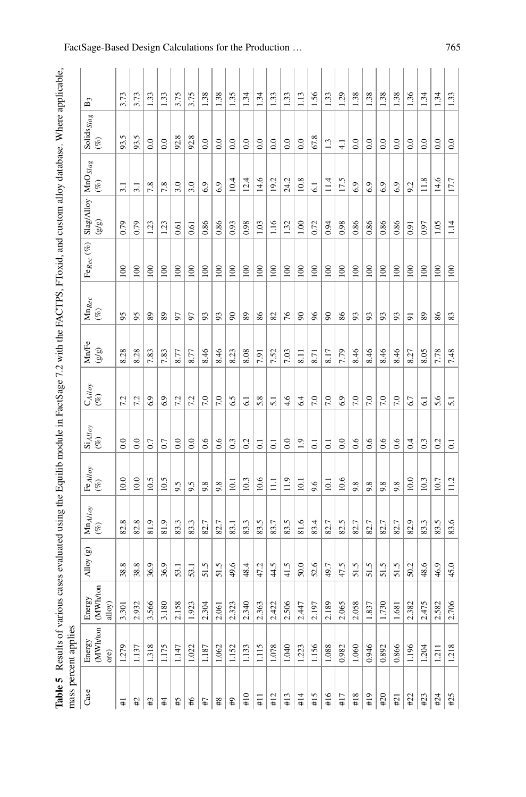| į<br>;<br>;<br>ļ<br>ļ       |                                                                                  |
|-----------------------------|----------------------------------------------------------------------------------|
| ı                           |                                                                                  |
| l<br>$\mathbf{I}$           |                                                                                  |
| ļ                           |                                                                                  |
|                             |                                                                                  |
|                             |                                                                                  |
| ֠<br>ï<br>١<br>l            |                                                                                  |
| ļ<br>I<br>ļ                 | l<br>:<br>j<br>֧֧֧֧֧֧֧֧֧֧֧֧֧ׅ֧֧֧֚֚֚֚֚֚֚֚֚֚֚֚֚֚֚֚֚֚֚֚֚֚֚֚֚֚֚֚֡֓֡֝֓֝֓֓֓֓֓֓֓֓֓֓֜֝֬֜ |
| aunu J<br>l,<br>ļ<br>ľ<br>I | .<br>1                                                                           |

<span id="page-8-0"></span>

|                   | mass percent applies       |                                       |           |                             |                              |                                    |                  |                         |                                                                                                               |                    |                    |                        |                                   |                |
|-------------------|----------------------------|---------------------------------------|-----------|-----------------------------|------------------------------|------------------------------------|------------------|-------------------------|---------------------------------------------------------------------------------------------------------------|--------------------|--------------------|------------------------|-----------------------------------|----------------|
| Case              | Energy<br>(MWh/ton<br>ore) | h/ton<br>ζã<br>Energ<br>(MW<br>alloy) | Alloy (g) | $\mathbf{Mn}_{AHoy}$<br>(%) | $\mathrm{Fe}_{Alloy}$<br>(%) | $\operatorname{Si}_{Alloy}$<br>(%) | CAlloy<br>$(\%)$ | Mn/Fe<br>$\binom{3}{2}$ | $\ensuremath{\mathit{M}}\xspace$ $\ensuremath{\mathit{M}}\xspace$ $\ensuremath{\mathit{Re}}\xspace$<br>$(\%)$ | Fe $_{Rec}$ $(\%)$ | Slag/Alloy<br>(වූ) | $MnO_{Slag}$<br>$($ %) | Solids $_{\emph{Stag}}$<br>$(\%)$ | $\mathbf{B}^2$ |
| #                 | 1.279                      | 3.301                                 | 38.8      | 82.8                        | 10.0                         | $_{0.0}$                           | 7.2              | 8.28                    | 95                                                                                                            | 100                | 0.79               | 3.1                    | 93.5                              | 3.73           |
| #                 | 1.137                      | 2.93                                  | 38.8      | 82.8                        | 10.0                         | $_{0.0}$                           | 7.2              | 8.28                    | 95                                                                                                            | 100                | 0.79               | $\overline{31}$        | 93.5                              | 3.73           |
| $\mathfrak{t}^\#$ | 1.318                      | 3.566                                 | 36.9      | 81.9                        | 10.5                         | 0.7                                | 6.9              | 7.83                    | 89                                                                                                            | $\overline{0}$     | 1.23               | 7.8                    | $_{0.0}$                          | 1.33           |
| #4                | 1.175                      | 3.180                                 | 36.9      | 81.9                        | 10.5                         | 0.7                                | 6.9              | 7.83                    | 89                                                                                                            | 100                | 1.23               | 7.8                    | $_{0.0}$                          | 1.33           |
| \$#               | 1.147                      | 2.158                                 | 53.1      | 83.3                        | 9.5                          | $_{0.0}$                           | 7.2              | 8.77                    | 57                                                                                                            | 100                | 0.61               | 3.0                    | 92.8                              | 3.75           |
| \$                | 1.022                      | 1.92                                  | 53.1      | 83.3                        | 9.5                          | $_{0.0}$                           | 7.2              | 8.77                    | 5                                                                                                             | 100                | 0.61               | 3.0                    | 92.8                              | 3.75           |
| L#                | 1.187                      | 2.30 <sup>2</sup>                     | 51.5      | 82.7                        | 9.8                          | 0.6                                | 7.0              | 8.46                    | 93                                                                                                            | 100                | 0.86               | 6.9                    | $_{0.0}$                          | 1.38           |
| $^{48}$           | 1.062                      | 2.06                                  | 51.5      | 82.7                        | 9.8                          | 0.6                                | 7.0              | 8.46                    | 93                                                                                                            | 100                | 0.86               | 6.9                    | $_{0.0}$                          | 1.38           |
| 4                 | 1.152                      | 2.32                                  | 49.6      | 83.1                        | $\overline{10}$              | 0.3                                | 6.5              | 8.23                    | 8                                                                                                             | 100                | 0.93               | 10.4                   | $_{0.0}$                          | 1.35           |
| #10               | 1.133                      | 2.34(                                 | 48.4      | 83.3                        | 10.3                         | 0.2                                | 6.1              | 8.08                    | 89                                                                                                            | 100                | 0.98               | 12.4                   | 0.0                               | 1.34           |
| $\frac{11}{11}$   | 1.115                      | 2.363                                 | 47.2      | 83.5                        | 10.6                         | $\overline{c}$                     | 5.8              | 7.91                    | 86                                                                                                            | 100                | 1.03               | 14.6                   | $_{0.0}$                          | 1.34           |
| #12               | 1.078                      | 2.422                                 | 44.5      | 83.7                        | $\Xi$                        | $\overline{c}$                     | 5.1              | 7.52                    | 82                                                                                                            | 100                | 1.16               | 19.2                   | 0.0                               | 1.33           |
| #13               | 1.040                      | 2.506                                 | 41.5      | 83.5                        | 11.9                         | $_{0.0}$                           | 4.6              | 7.03                    | 76                                                                                                            | 100                | 1.32               | 24.2                   | $_{0.0}$                          | 1.33           |
| #14               | 1.223                      | 2.447                                 | 50.0      | 81.6                        | 10.1                         | 1.9                                | 6.4              | $\overline{8.11}$       | 8                                                                                                             | 100                | 1.00               | 10.8                   | $_{0.0}$                          | 1.13           |
| #15               | 1.156                      | 2.197                                 | 52.6      | 83.4                        | 9.6                          | $\overline{c}$                     | 7.0              | 8.71                    | 96                                                                                                            | 100                | 0.72               | $\overline{61}$        | 67.8                              | 1.56           |
| #16               | 1.088                      | 2.189                                 | 49.7      | 82.7                        | 10.1                         | $\overline{c}$                     | 7.0              | 8.17                    | 8                                                                                                             | 100                | 0.94               | 11.4                   | 1.3                               | 1.33           |
| #17               | 0.982                      | 2.06 <sup>2</sup>                     | 47.5      | 82.5                        | 10.6                         | $_{0.0}$                           | 6.9              | 7.79                    | 86                                                                                                            | 100                | 0.98               | 17.5                   | $\frac{1}{4}$                     | 1.29           |
| #18               | 1.060                      | 2.058                                 | 51.5      | 82.7                        | 9.8                          | 0.6                                | 7.0              | 8.46                    | 93                                                                                                            | 100                | 0.86               | 6.9                    | 0.0                               | 1.38           |
| #19               | 0.946                      | $1.83^{\circ}$                        | 51.5      | 82.7                        | 9.8                          | 0.6                                | 7.0              | 8.46                    | 93                                                                                                            | $\geq$             | 0.86               | 6.9                    | 0.0                               | 1.38           |
| #20               | 0.892                      | 1.73                                  | 51.5      | 82.7                        | 9.8                          | 0.6                                | 7.0              | 8.46                    | 93                                                                                                            | 100                | 0.86               | 6.9                    | $_{0.0}$                          | 1.38           |
| #21               | 0.866                      | 1.68                                  | 51.5      | 82.7                        | 9.8                          | 0.6                                | 7.0              | 8.46                    | 93                                                                                                            | 100                | 0.86               | 6.9                    | $_{0.0}$                          | 1.38           |
| #22               | 1.196                      | 2.38'                                 | 50.2      | 82.9                        | 10.0                         | 0.4                                | 6.7              | 8.27                    | 51                                                                                                            | 100                | 0.91               | 9.2                    | $_{0.0}$                          | 1.36           |
| #23               | 1.204                      | 2.475                                 | 48.6      | 83.3                        | 10.3                         | 0.3                                | $\overline{61}$  | 8.05                    | 89                                                                                                            | 100                | 0.97               | 11.8                   | $_{0.0}$                          | 1.34           |
| #24               | 1.211                      | 2.58                                  | 46.9      | 83.5                        | 10.7                         | 0.2                                | 5.6              | 7.78                    | 86                                                                                                            | 100                | 1.05               | 14.6                   | $_{0.0}$                          | 1.34           |
| #25               | 1.218                      | 2.706                                 | 45.0      | 83.6                        | 11.2                         | $\overline{0}$                     | $\overline{51}$  | 7.48                    | 83                                                                                                            | 100                | 1.14               | 17.7                   | $_{0.0}$                          | 1.33           |

## FactSage-Based Design Calculations for the Production ... 765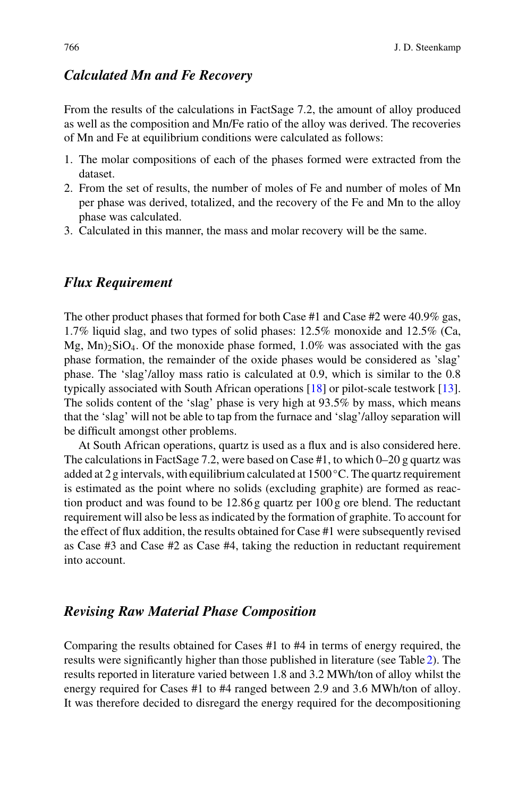## *Calculated Mn and Fe Recovery*

From the results of the calculations in FactSage 7.2, the amount of alloy produced as well as the composition and Mn/Fe ratio of the alloy was derived. The recoveries of Mn and Fe at equilibrium conditions were calculated as follows:

- 1. The molar compositions of each of the phases formed were extracted from the dataset.
- 2. From the set of results, the number of moles of Fe and number of moles of Mn per phase was derived, totalized, and the recovery of the Fe and Mn to the alloy phase was calculated.
- 3. Calculated in this manner, the mass and molar recovery will be the same.

## *Flux Requirement*

The other product phases that formed for both Case #1 and Case #2 were 40.9% gas, 1.7% liquid slag, and two types of solid phases: 12.5% monoxide and 12.5% (Ca,  $Mg$ ,  $Mn$ )<sub>2</sub>SiO<sub>4</sub>. Of the monoxide phase formed, 1.0% was associated with the gas phase formation, the remainder of the oxide phases would be considered as 'slag' phase. The 'slag'/alloy mass ratio is calculated at 0.9, which is similar to the 0.8 typically associated with South African operations [\[18\]](#page-14-4) or pilot-scale testwork [\[13](#page-13-10)]. The solids content of the 'slag' phase is very high at 93.5% by mass, which means that the 'slag' will not be able to tap from the furnace and 'slag'/alloy separation will be difficult amongst other problems.

At South African operations, quartz is used as a flux and is also considered here. The calculations in FactSage 7.2, were based on Case  $#1$ , to which  $0-20$  g quartz was added at 2 g intervals, with equilibrium calculated at  $1500^{\circ}$ C. The quartz requirement is estimated as the point where no solids (excluding graphite) are formed as reaction product and was found to be 12.86 g quartz per 100 g ore blend. The reductant requirement will also be less as indicated by the formation of graphite. To account for the effect of flux addition, the results obtained for Case #1 were subsequently revised as Case #3 and Case #2 as Case #4, taking the reduction in reductant requirement into account.

## *Revising Raw Material Phase Composition*

Comparing the results obtained for Cases #1 to #4 in terms of energy required, the results were significantly higher than those published in literature (see Table [2\)](#page-4-0). The results reported in literature varied between 1.8 and 3.2 MWh/ton of alloy whilst the energy required for Cases #1 to #4 ranged between 2.9 and 3.6 MWh/ton of alloy. It was therefore decided to disregard the energy required for the decompositioning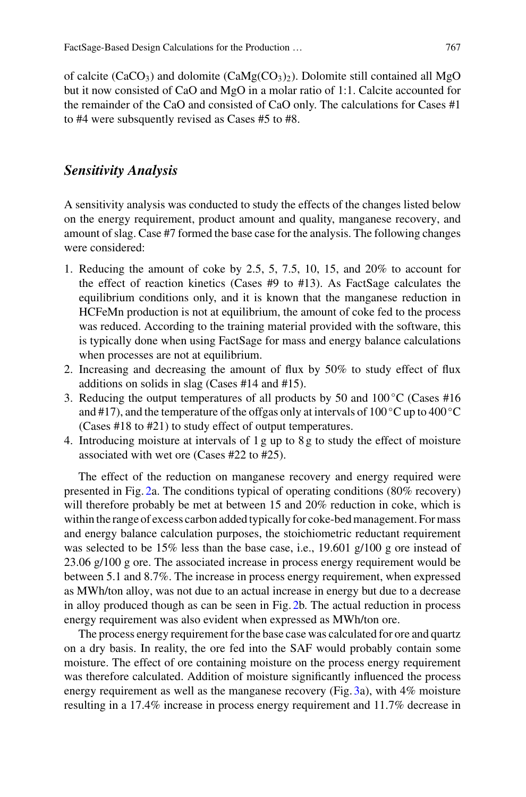of calcite (CaCO<sub>3</sub>) and dolomite (CaMg(CO<sub>3</sub>)<sub>2</sub>). Dolomite still contained all MgO but it now consisted of CaO and MgO in a molar ratio of 1:1. Calcite accounted for the remainder of the CaO and consisted of CaO only. The calculations for Cases #1 to #4 were subsquently revised as Cases #5 to #8.

#### *Sensitivity Analysis*

A sensitivity analysis was conducted to study the effects of the changes listed below on the energy requirement, product amount and quality, manganese recovery, and amount of slag. Case #7 formed the base case for the analysis. The following changes were considered:

- 1. Reducing the amount of coke by 2.5, 5, 7.5, 10, 15, and 20% to account for the effect of reaction kinetics (Cases #9 to #13). As FactSage calculates the equilibrium conditions only, and it is known that the manganese reduction in HCFeMn production is not at equilibrium, the amount of coke fed to the process was reduced. According to the training material provided with the software, this is typically done when using FactSage for mass and energy balance calculations when processes are not at equilibrium.
- 2. Increasing and decreasing the amount of flux by 50% to study effect of flux additions on solids in slag (Cases #14 and #15).
- 3. Reducing the output temperatures of all products by 50 and  $100\degree$ C (Cases #16 and #17), and the temperature of the offgas only at intervals of 100 °C up to 400 °C (Cases #18 to #21) to study effect of output temperatures.
- 4. Introducing moisture at intervals of 1 g up to 8 g to study the effect of moisture associated with wet ore (Cases #22 to #25).

The effect of the reduction on manganese recovery and energy required were presented in Fig. [2a](#page-11-0). The conditions typical of operating conditions (80% recovery) will therefore probably be met at between 15 and 20% reduction in coke, which is within the range of excess carbon added typically for coke-bed management. For mass and energy balance calculation purposes, the stoichiometric reductant requirement was selected to be 15% less than the base case, i.e., 19.601 g/100 g ore instead of 23.06 g/100 g ore. The associated increase in process energy requirement would be between 5.1 and 8.7%. The increase in process energy requirement, when expressed as MWh/ton alloy, was not due to an actual increase in energy but due to a decrease in alloy produced though as can be seen in Fig. [2b](#page-11-0). The actual reduction in process energy requirement was also evident when expressed as MWh/ton ore.

The process energy requirement for the base case was calculated for ore and quartz on a dry basis. In reality, the ore fed into the SAF would probably contain some moisture. The effect of ore containing moisture on the process energy requirement was therefore calculated. Addition of moisture significantly influenced the process energy requirement as well as the manganese recovery (Fig. [3a](#page-11-1)), with 4% moisture resulting in a 17.4% increase in process energy requirement and 11.7% decrease in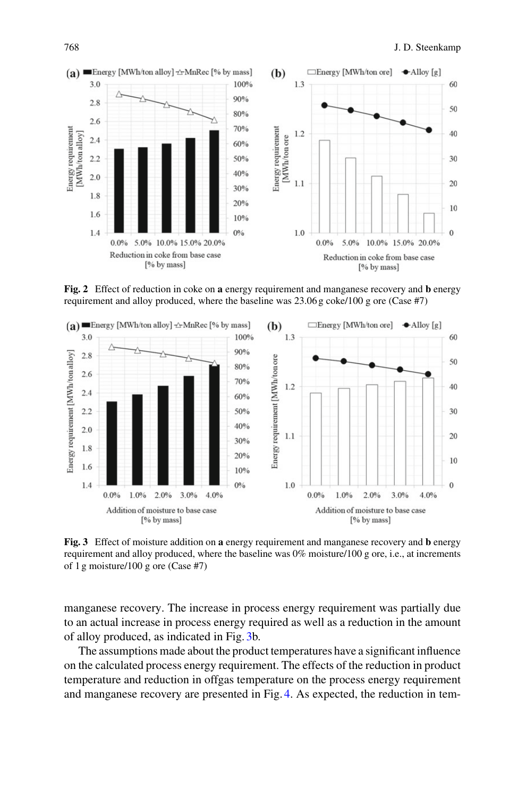

<span id="page-11-0"></span>**Fig. 2** Effect of reduction in coke on **a** energy requirement and manganese recovery and **b** energy requirement and alloy produced, where the baseline was 23.06 g coke/100 g ore (Case #7)



<span id="page-11-1"></span>**Fig. 3** Effect of moisture addition on **a** energy requirement and manganese recovery and **b** energy requirement and alloy produced, where the baseline was 0% moisture/100 g ore, i.e., at increments of 1 g moisture/100 g ore (Case #7)

manganese recovery. The increase in process energy requirement was partially due to an actual increase in process energy required as well as a reduction in the amount of alloy produced, as indicated in Fig. [3b](#page-11-1).

The assumptions made about the product temperatures have a significant influence on the calculated process energy requirement. The effects of the reduction in product temperature and reduction in offgas temperature on the process energy requirement and manganese recovery are presented in Fig. [4.](#page-12-0) As expected, the reduction in tem-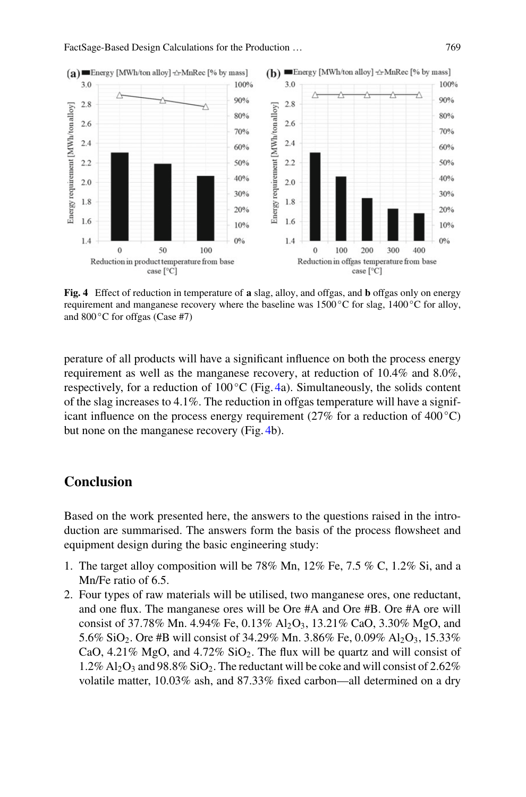

<span id="page-12-0"></span>**Fig. 4** Effect of reduction in temperature of **a** slag, alloy, and offgas, and **b** offgas only on energy requirement and manganese recovery where the baseline was 1500 $\degree$ C for slag, 1400 $\degree$ C for alloy, and 800 ◦C for offgas (Case #7)

perature of all products will have a significant influence on both the process energy requirement as well as the manganese recovery, at reduction of 10.4% and 8.0%, respectively, for a reduction of  $100^{\circ}$ C (Fig. [4a](#page-12-0)). Simultaneously, the solids content of the slag increases to 4.1%. The reduction in offgas temperature will have a significant influence on the process energy requirement (27% for a reduction of 400 °C) but none on the manganese recovery (Fig. [4b](#page-12-0)).

## **Conclusion**

Based on the work presented here, the answers to the questions raised in the introduction are summarised. The answers form the basis of the process flowsheet and equipment design during the basic engineering study:

- 1. The target alloy composition will be 78% Mn, 12% Fe, 7.5 % C, 1.2% Si, and a Mn/Fe ratio of 6.5.
- 2. Four types of raw materials will be utilised, two manganese ores, one reductant, and one flux. The manganese ores will be Ore #A and Ore #B. Ore #A ore will consist of 37.78% Mn. 4.94% Fe, 0.13%  $Al_2O_3$ , 13.21% CaO, 3.30% MgO, and 5.6% SiO<sub>2</sub>. Ore #B will consist of 34.29% Mn. 3.86% Fe, 0.09% Al<sub>2</sub>O<sub>3</sub>, 15.33% CaO, 4.21% MgO, and 4.72%  $SiO<sub>2</sub>$ . The flux will be quartz and will consist of  $1.2\%$  Al<sub>2</sub>O<sub>3</sub> and 98.8% SiO<sub>2</sub>. The reductant will be coke and will consist of 2.62% volatile matter, 10.03% ash, and 87.33% fixed carbon—all determined on a dry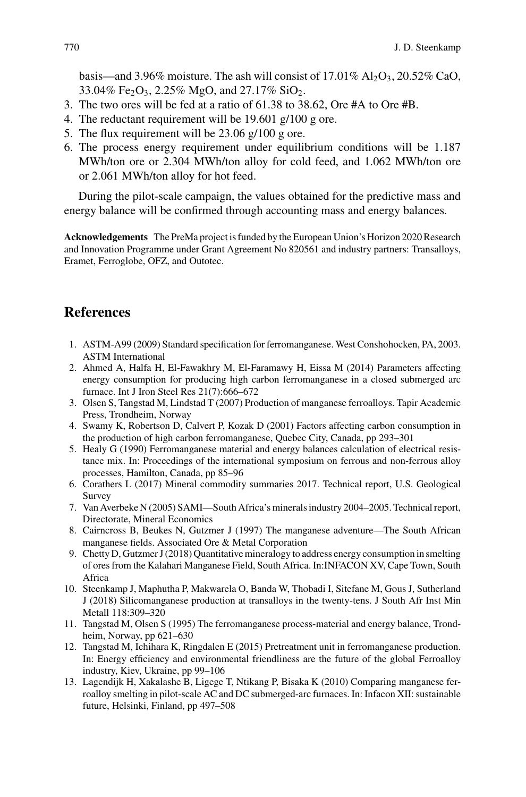basis—and 3.96% moisture. The ash will consist of  $17.01\%$  Al<sub>2</sub>O<sub>3</sub>,  $20.52\%$  CaO, 33.04% Fe<sub>2</sub>O<sub>3</sub>, 2.25% MgO, and 27.17% SiO<sub>2</sub>.

- 3. The two ores will be fed at a ratio of 61.38 to 38.62, Ore #A to Ore #B.
- 4. The reductant requirement will be 19.601 g/100 g ore.
- 5. The flux requirement will be 23.06 g/100 g ore.
- 6. The process energy requirement under equilibrium conditions will be 1.187 MWh/ton ore or 2.304 MWh/ton alloy for cold feed, and 1.062 MWh/ton ore or 2.061 MWh/ton alloy for hot feed.

During the pilot-scale campaign, the values obtained for the predictive mass and energy balance will be confirmed through accounting mass and energy balances.

**Acknowledgements** The PreMa project is funded by the European Union's Horizon 2020 Research and Innovation Programme under Grant Agreement No 820561 and industry partners: Transalloys, Eramet, Ferroglobe, OFZ, and Outotec.

## **References**

- <span id="page-13-0"></span>1. ASTM-A99 (2009) Standard specification for ferromanganese. West Conshohocken, PA, 2003. ASTM International
- <span id="page-13-1"></span>2. Ahmed A, Halfa H, El-Fawakhry M, El-Faramawy H, Eissa M (2014) Parameters affecting energy consumption for producing high carbon ferromanganese in a closed submerged arc furnace. Int J Iron Steel Res 21(7):666–672
- <span id="page-13-11"></span>3. Olsen S, Tangstad M, Lindstad T (2007) Production of manganese ferroalloys. Tapir Academic Press, Trondheim, Norway
- <span id="page-13-7"></span>4. Swamy K, Robertson D, Calvert P, Kozak D (2001) Factors affecting carbon consumption in the production of high carbon ferromanganese, Quebec City, Canada, pp 293–301
- <span id="page-13-2"></span>5. Healy G (1990) Ferromanganese material and energy balances calculation of electrical resistance mix. In: Proceedings of the international symposium on ferrous and non-ferrous alloy processes, Hamilton, Canada, pp 85–96
- <span id="page-13-3"></span>6. Corathers L (2017) Mineral commodity summaries 2017. Technical report, U.S. Geological Survey
- <span id="page-13-4"></span>7. Van Averbeke N (2005) SAMI—South Africa's minerals industry 2004–2005. Technical report, Directorate, Mineral Economics
- 8. Cairncross B, Beukes N, Gutzmer J (1997) The manganese adventure—The South African manganese fields. Associated Ore & Metal Corporation
- <span id="page-13-5"></span>9. Chetty D, Gutzmer J (2018) Quantitative mineralogy to address energy consumption in smelting of ores from the Kalahari Manganese Field, South Africa. In:INFACON XV, Cape Town, South Africa
- <span id="page-13-6"></span>10. Steenkamp J, Maphutha P, Makwarela O, Banda W, Thobadi I, Sitefane M, Gous J, Sutherland J (2018) Silicomanganese production at transalloys in the twenty-tens. J South Afr Inst Min Metall 118:309–320
- <span id="page-13-8"></span>11. Tangstad M, Olsen S (1995) The ferromanganese process-material and energy balance, Trondheim, Norway, pp 621–630
- <span id="page-13-9"></span>12. Tangstad M, Ichihara K, Ringdalen E (2015) Pretreatment unit in ferromanganese production. In: Energy efficiency and environmental friendliness are the future of the global Ferroalloy industry, Kiev, Ukraine, pp 99–106
- <span id="page-13-10"></span>13. Lagendijk H, Xakalashe B, Ligege T, Ntikang P, Bisaka K (2010) Comparing manganese ferroalloy smelting in pilot-scale AC and DC submerged-arc furnaces. In: Infacon XII: sustainable future, Helsinki, Finland, pp 497–508